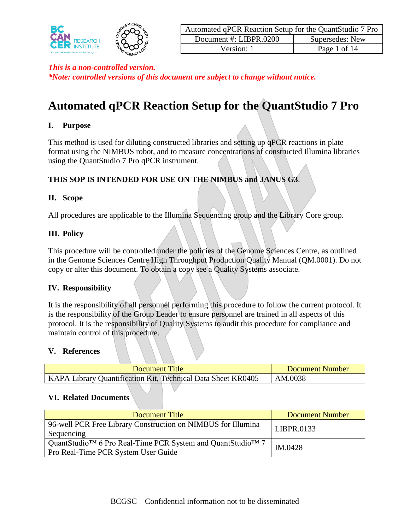

| Automated qPCR Reaction Setup for the QuantStudio 7 Pro |                 |  |  |  |  |  |
|---------------------------------------------------------|-----------------|--|--|--|--|--|
| Document #: LIBPR.0200                                  | Supersedes: New |  |  |  |  |  |
| Version: 1                                              | Page 1 of 14    |  |  |  |  |  |

*\*Note: controlled versions of this document are subject to change without notice.*

# **Automated qPCR Reaction Setup for the QuantStudio 7 Pro**

#### **I. Purpose**

This method is used for diluting constructed libraries and setting up qPCR reactions in plate format using the NIMBUS robot, and to measure concentrations of constructed Illumina libraries using the QuantStudio 7 Pro qPCR instrument.

#### **THIS SOP IS INTENDED FOR USE ON THE NIMBUS and JANUS G3**.

#### **II. Scope**

All procedures are applicable to the Illumina Sequencing group and the Library Core group.

#### **III. Policy**

This procedure will be controlled under the policies of the Genome Sciences Centre, as outlined in the Genome Sciences Centre High Throughput Production Quality Manual (QM.0001). Do not copy or alter this document. To obtain a copy see a Quality Systems associate.

#### **IV. Responsibility**

It is the responsibility of all personnel performing this procedure to follow the current protocol. It is the responsibility of the Group Leader to ensure personnel are trained in all aspects of this protocol. It is the responsibility of Quality Systems to audit this procedure for compliance and maintain control of this procedure.

#### **V. References**

| <b>Document Title</b>                                        | Document Number |
|--------------------------------------------------------------|-----------------|
| KAPA Library Quantification Kit, Technical Data Sheet KR0405 | AM.0038         |

#### **VI. Related Documents**

| Document Title                                                                                    | <b>Document Number</b> |
|---------------------------------------------------------------------------------------------------|------------------------|
| 96-well PCR Free Library Construction on NIMBUS for Illumina<br>Sequencing                        | LIBPR.0133             |
| QuantStudio™ 6 Pro Real-Time PCR System and QuantStudio™ 7<br>Pro Real-Time PCR System User Guide | IM.0428                |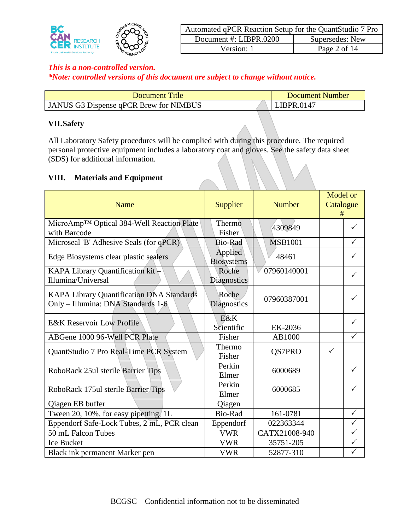

| Automated qPCR Reaction Setup for the QuantStudio 7 Pro |                 |  |  |  |  |  |  |
|---------------------------------------------------------|-----------------|--|--|--|--|--|--|
| Document #: LIBPR.0200                                  | Supersedes: New |  |  |  |  |  |  |
| Version: 1                                              | Page 2 of 14    |  |  |  |  |  |  |

*\*Note: controlled versions of this document are subject to change without notice.*

| Document Title                         | Document Number |
|----------------------------------------|-----------------|
| JANUS G3 Dispense qPCR Brew for NIMBUS | LIBPR.0147      |

## **VII.Safety**

All Laboratory Safety procedures will be complied with during this procedure. The required personal protective equipment includes a laboratory coat and gloves. See the safety data sheet (SDS) for additional information.

#### **VIII. Materials and Equipment**

| Name                                                                            | Supplier                     | Number         | Model or<br>Catalogue<br># |              |
|---------------------------------------------------------------------------------|------------------------------|----------------|----------------------------|--------------|
| MicroAmp <sup>™</sup> Optical 384-Well Reaction Plate<br>with Barcode           | Thermo<br>Fisher             | 4309849        |                            | $\checkmark$ |
| Microseal 'B' Adhesive Seals (for qPCR)                                         | <b>Bio-Rad</b>               | <b>MSB1001</b> |                            | ✓            |
| Edge Biosystems clear plastic sealers                                           | Applied<br><b>Biosystems</b> | 48461          |                            | $\checkmark$ |
| KAPA Library Quantification kit<br>Illumina/Universal                           | Roche<br><b>Diagnostics</b>  | 07960140001    |                            | ✓            |
| KAPA Library Quantification DNA Standards<br>Only - Illumina: DNA Standards 1-6 | Roche<br>Diagnostics         | 07960387001    |                            | ✓            |
| <b>E&amp;K Reservoir Low Profile</b>                                            | E&K<br>Scientific            | EK-2036        |                            | ✓            |
| ABGene 1000 96-Well PCR Plate                                                   | Fisher                       | AB1000         |                            | ✓            |
| QuantStudio 7 Pro Real-Time PCR System                                          | Thermo<br>Fisher             | QS7PRO         | $\checkmark$               |              |
| RoboRack 25ul sterile Barrier Tips                                              | Perkin<br>Elmer              | 6000689        |                            | $\checkmark$ |
| RoboRack 175ul sterile Barrier Tips                                             | Perkin<br>Elmer              | 6000685        |                            | ✓            |
| Qiagen EB buffer                                                                | Qiagen                       |                |                            |              |
| Tween 20, 10%, for easy pipetting, 1L                                           | Bio-Rad                      | 161-0781       |                            | $\checkmark$ |
| Eppendorf Safe-Lock Tubes, 2 mL, PCR clean                                      | Eppendorf                    | 022363344      |                            | $\checkmark$ |
| 50 mL Falcon Tubes                                                              | <b>VWR</b>                   | CATX21008-940  |                            | $\checkmark$ |
| <b>Ice Bucket</b>                                                               | <b>VWR</b>                   | 35751-205      |                            | $\checkmark$ |
| Black ink permanent Marker pen                                                  | <b>VWR</b>                   | 52877-310      |                            | $\checkmark$ |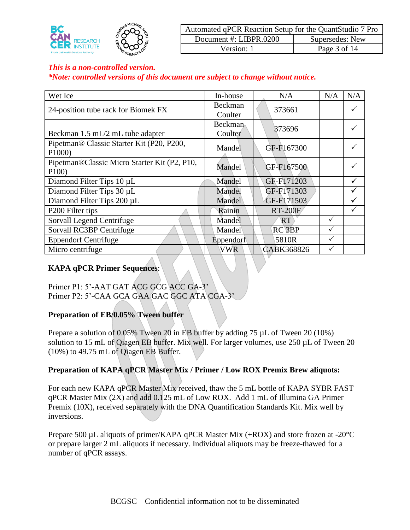

| Automated qPCR Reaction Setup for the QuantStudio 7 Pro |                 |  |  |  |  |  |  |
|---------------------------------------------------------|-----------------|--|--|--|--|--|--|
| Document #: LIBPR.0200                                  | Supersedes: New |  |  |  |  |  |  |
| Version: 1                                              | Page 3 of 14    |  |  |  |  |  |  |

*\*Note: controlled versions of this document are subject to change without notice.*

| Wet Ice                                              | In-house                  | N/A                | N/A | N/A |
|------------------------------------------------------|---------------------------|--------------------|-----|-----|
| 24-position tube rack for Biomek FX                  | Beckman<br>Coulter        | 373661             |     |     |
| Beckman 1.5 mL/2 mL tube adapter                     | <b>Beckman</b><br>Coulter | 373696             |     |     |
| Pipetman® Classic Starter Kit (P20, P200,<br>P1000)  | Mandel                    | GF-F167300         |     |     |
| Pipetman®Classic Micro Starter Kit (P2, P10,<br>P100 | Mandel                    | GF-F167500         |     |     |
| Diamond Filter Tips 10 µL                            | Mandel                    | GF-F171203         |     | ✓   |
| Diamond Filter Tips 30 µL                            | Mandel                    | GF-F171303         |     |     |
| Diamond Filter Tips 200 µL                           | Mandel                    | GF-F171503         |     | ✓   |
| P <sub>200</sub> Filter tips                         | Rainin                    | <b>RT-200F</b>     |     |     |
| Sorvall Legend Centrifuge                            | Mandel                    | RT                 | ✓   |     |
| Sorvall RC3BP Centrifuge                             | Mandel                    | RC <sub>3</sub> BP |     |     |
| <b>Eppendorf Centrifuge</b>                          | Eppendorf                 | 5810R              | ✓   |     |
| Micro centrifuge                                     | VWR                       | CABK368826         |     |     |

## **KAPA qPCR Primer Sequences**:

Primer P1: 5'-AAT GAT ACG GCG ACC GA-3' Primer P2: 5'-CAA GCA GAA GAC GGC ATA CGA-3'

#### **Preparation of EB/0.05% Tween buffer**

Prepare a solution of 0.05% Tween 20 in EB buffer by adding 75 µL of Tween 20 (10%) solution to 15 mL of Qiagen EB buffer. Mix well. For larger volumes, use 250 µL of Tween 20 (10%) to 49.75 mL of Qiagen EB Buffer.

#### **Preparation of KAPA qPCR Master Mix / Primer / Low ROX Premix Brew aliquots:**

For each new KAPA qPCR Master Mix received, thaw the 5 mL bottle of KAPA SYBR FAST qPCR Master Mix (2X) and add 0.125 mL of Low ROX. Add 1 mL of Illumina GA Primer Premix (10X), received separately with the DNA Quantification Standards Kit. Mix well by inversions.

Prepare 500 µL aliquots of primer/KAPA qPCR Master Mix (+ROX) and store frozen at -20**°**C or prepare larger 2 mL aliquots if necessary. Individual aliquots may be freeze-thawed for a number of qPCR assays.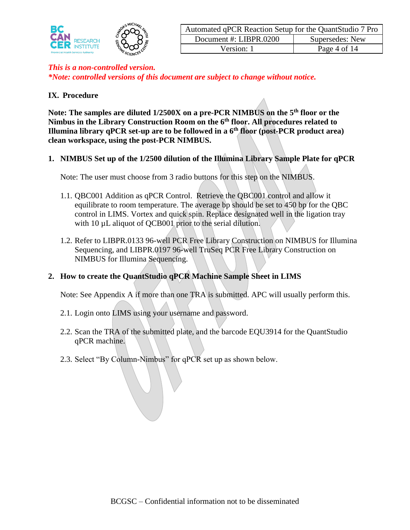

| Automated qPCR Reaction Setup for the QuantStudio 7 Pro |                 |  |  |  |  |  |  |
|---------------------------------------------------------|-----------------|--|--|--|--|--|--|
| Document #: LIBPR.0200                                  | Supersedes: New |  |  |  |  |  |  |
| Version: 1                                              | Page 4 of 14    |  |  |  |  |  |  |

#### **IX. Procedure**

**Note: The samples are diluted 1/2500X on a pre-PCR NIMBUS on the 5th floor or the Nimbus in the Library Construction Room on the 6th floor. All procedures related to Illumina library qPCR set-up are to be followed in a 6th floor (post-PCR product area) clean workspace, using the post-PCR NIMBUS.**

**1. NIMBUS Set up of the 1/2500 dilution of the Illumina Library Sample Plate for qPCR**

Note: The user must choose from 3 radio buttons for this step on the NIMBUS.

- 1.1. QBC001 Addition as qPCR Control. Retrieve the QBC001 control and allow it equilibrate to room temperature. The average bp should be set to 450 bp for the QBC control in LIMS. Vortex and quick spin. Replace designated well in the ligation tray with 10  $\mu$ L aliquot of QCB001 prior to the serial dilution.
- 1.2. Refer to LIBPR.0133 96-well PCR Free Library Construction on NIMBUS for Illumina Sequencing, and LIBPR.0197 96-well TruSeq PCR Free Library Construction on NIMBUS for Illumina Sequencing.

#### **2. How to create the QuantStudio qPCR Machine Sample Sheet in LIMS**

Note: See Appendix A if more than one TRA is submitted. APC will usually perform this.

- 2.1. Login onto LIMS using your username and password.
- 2.2. Scan the TRA of the submitted plate, and the barcode EQU3914 for the QuantStudio qPCR machine.
- 2.3. Select "By Column-Nimbus" for qPCR set up as shown below.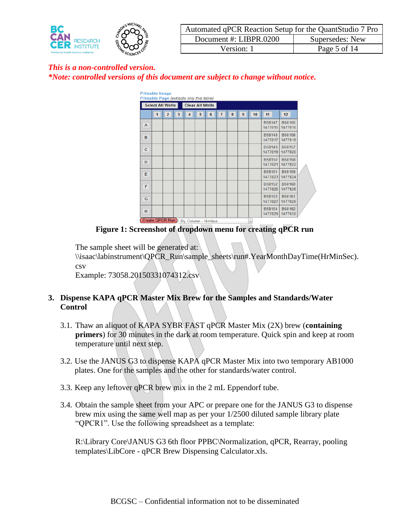

| Automated qPCR Reaction Setup for the QuantStudio 7 Pro |                 |  |  |  |  |  |  |
|---------------------------------------------------------|-----------------|--|--|--|--|--|--|
| Document #: LIBPR.0200                                  | Supersedes: New |  |  |  |  |  |  |
| Version: 1                                              | Page 5 of 14    |  |  |  |  |  |  |

| <b>Printable Image</b><br>Printable Page (extracts only this table) |                  |                |   |                    |                        |   |                |   |   |                          |                   |                          |  |
|---------------------------------------------------------------------|------------------|----------------|---|--------------------|------------------------|---|----------------|---|---|--------------------------|-------------------|--------------------------|--|
|                                                                     | Select All Wells |                |   |                    | <b>Clear All Wells</b> |   |                |   |   |                          |                   |                          |  |
|                                                                     | 1                | $\overline{2}$ | 3 | 4                  | 5                      | 6 | $\overline{1}$ | 8 | 9 | 10 <sub>1</sub>          | 11                | 12 <sub>2</sub>          |  |
| $\overline{A}$                                                      |                  |                |   |                    |                        |   |                |   |   |                          | B58147<br>1477815 | B58155<br>1477816        |  |
| B                                                                   |                  |                |   |                    |                        |   |                |   |   |                          | B58148<br>1477817 | <b>B58156</b><br>1477818 |  |
| c                                                                   |                  |                |   |                    |                        |   |                |   |   |                          | B58149<br>1477819 | B58157<br>1477820        |  |
| D                                                                   |                  |                |   |                    |                        |   |                |   |   |                          | B58150<br>1477821 | <b>B58158</b><br>1477822 |  |
| Ε                                                                   |                  |                |   |                    |                        |   |                |   |   |                          | B58151<br>1477823 | B58159<br>1477824        |  |
| F                                                                   |                  |                |   |                    |                        |   |                |   |   |                          | B58152<br>1477825 | B58160<br>1477826        |  |
| G                                                                   |                  |                |   |                    |                        |   |                |   |   |                          | B58153<br>1477827 | B58161<br>1477828        |  |
| H                                                                   |                  |                |   |                    |                        |   |                |   |   |                          | B58154<br>1477829 | B58162<br>1477830        |  |
|                                                                     | Create QPCR Run  |                |   | By Column - Nimbus |                        |   |                |   |   | $\overline{\phantom{a}}$ |                   |                          |  |

**Figure 1: Screenshot of dropdown menu for creating qPCR run**

The sample sheet will be generated at:

\\isaac\labinstrument\QPCR\_Run\sample\_sheets\run#.YearMonthDayTime(HrMinSec). csv

Example: 73058.20150331074312.csv

# **3. Dispense KAPA qPCR Master Mix Brew for the Samples and Standards/Water Control**

- 3.1. Thaw an aliquot of KAPA SYBR FAST qPCR Master Mix (2X) brew (**containing primers**) for 30 minutes in the dark at room temperature. Quick spin and keep at room temperature until next step.
- 3.2. Use the JANUS G3 to dispense KAPA qPCR Master Mix into two temporary AB1000 plates. One for the samples and the other for standards/water control.
- 3.3. Keep any leftover qPCR brew mix in the 2 mL Eppendorf tube.
- 3.4. Obtain the sample sheet from your APC or prepare one for the JANUS G3 to dispense brew mix using the same well map as per your 1/2500 diluted sample library plate "QPCR1". Use the following spreadsheet as a template:

R:\Library Core\JANUS G3 6th floor PPBC\Normalization, qPCR, Rearray, pooling templates\LibCore - qPCR Brew Dispensing Calculator.xls.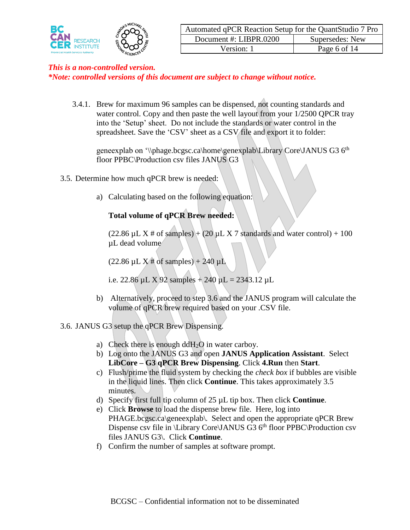

*\*Note: controlled versions of this document are subject to change without notice.*

3.4.1. Brew for maximum 96 samples can be dispensed, not counting standards and water control. Copy and then paste the well layout from your 1/2500 QPCR tray into the 'Setup' sheet. Do not include the standards or water control in the spreadsheet. Save the 'CSV' sheet as a CSV file and export it to folder:

geneexplab on '\\phage.bcgsc.ca\home\genexplab\Library Core\JANUS G3  $6<sup>th</sup>$ floor PPBC\Production csv files JANUS G3

- 3.5. Determine how much qPCR brew is needed:
	- a) Calculating based on the following equation:

# **Total volume of qPCR Brew needed:**

(22.86  $\mu$ L X # of samples) + (20  $\mu$ L X 7 standards and water control) + 100 µL dead volume

 $(22.86 \mu L X # of samples) + 240 \mu L$ 

i.e. 22.86  $\mu$ L X 92 samples + 240  $\mu$ L = 2343.12  $\mu$ L

b) Alternatively, proceed to step 3.6 and the JANUS program will calculate the volume of qPCR brew required based on your .CSV file.

#### 3.6. JANUS G3 setup the qPCR Brew Dispensing.

- a) Check there is enough dd $H_2O$  in water carboy.
- b) Log onto the JANUS G3 and open **JANUS Application Assistant**. Select **LibCore – G3 qPCR Brew Dispensing**. Click **4.Run** then **Start**.
- c) Flush/prime the fluid system by checking the *check box* if bubbles are visible in the liquid lines. Then click **Continue**. This takes approximately 3.5 minutes.
- d) Specify first full tip column of 25 µL tip box. Then click **Continue**.
- e) Click **Browse** to load the dispense brew file. Here, log into PHAGE.bcgsc.ca\geneexplab\. Select and open the appropriate qPCR Brew Dispense csv file in \Library Core\JANUS G3  $6<sup>th</sup>$  floor PPBC\Production csv files JANUS G3\. Click **Continue**.
- f) Confirm the number of samples at software prompt.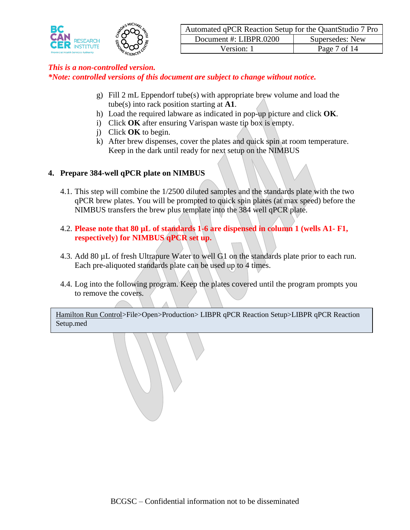

*\*Note: controlled versions of this document are subject to change without notice.*

- g) Fill 2 mL Eppendorf tube(s) with appropriate brew volume and load the tube(s) into rack position starting at **A1**.
- h) Load the required labware as indicated in pop-up picture and click **OK**.
- i) Click **OK** after ensuring Varispan waste tip box is empty.
- j) Click **OK** to begin.
- k) After brew dispenses, cover the plates and quick spin at room temperature. Keep in the dark until ready for next setup on the NIMBUS

#### **4. Prepare 384-well qPCR plate on NIMBUS**

- 4.1. This step will combine the 1/2500 diluted samples and the standards plate with the two qPCR brew plates. You will be prompted to quick spin plates (at max speed) before the NIMBUS transfers the brew plus template into the 384 well qPCR plate.
- 4.2. **Please note that 80 µL of standards 1-6 are dispensed in column 1 (wells A1- F1, respectively) for NIMBUS qPCR set up.**
- 4.3. Add 80 µL of fresh Ultrapure Water to well G1 on the standards plate prior to each run. Each pre-aliquoted standards plate can be used up to 4 times.
- 4.4. Log into the following program. Keep the plates covered until the program prompts you to remove the covers.

Hamilton Run Control>File>Open>Production> LIBPR qPCR Reaction Setup>LIBPR qPCR Reaction Setup.med

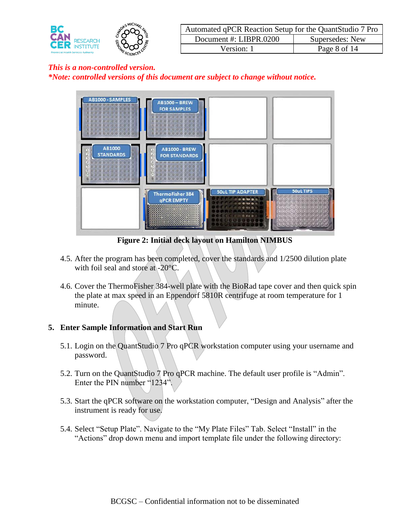

| Automated qPCR Reaction Setup for the QuantStudio 7 Pro |                 |  |  |  |  |  |  |
|---------------------------------------------------------|-----------------|--|--|--|--|--|--|
| Document #: LIBPR.0200                                  | Supersedes: New |  |  |  |  |  |  |
| Version: 1                                              | Page 8 of 14    |  |  |  |  |  |  |



**Figure 2: Initial deck layout on Hamilton NIMBUS**

- 4.5. After the program has been completed, cover the standards and 1/2500 dilution plate with foil seal and store at -20°C.
- 4.6. Cover the ThermoFisher 384-well plate with the BioRad tape cover and then quick spin the plate at max speed in an Eppendorf 5810R centrifuge at room temperature for 1 minute.

# **5. Enter Sample Information and Start Run**

- 5.1. Login on the QuantStudio 7 Pro qPCR workstation computer using your username and password.
- 5.2. Turn on the QuantStudio 7 Pro qPCR machine. The default user profile is "Admin". Enter the PIN number "1234".
- 5.3. Start the qPCR software on the workstation computer, "Design and Analysis" after the instrument is ready for use.
- 5.4. Select "Setup Plate". Navigate to the "My Plate Files" Tab. Select "Install" in the "Actions" drop down menu and import template file under the following directory: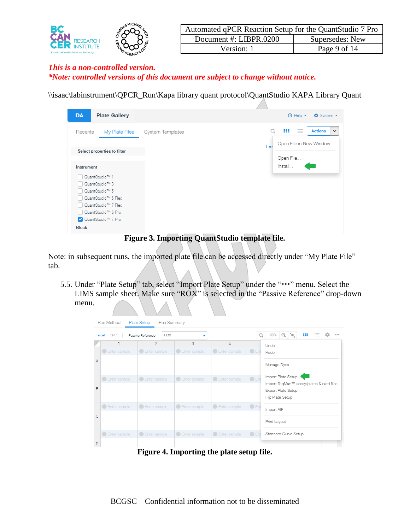

| Automated qPCR Reaction Setup for the QuantStudio 7 Pro |                        |                 |
|---------------------------------------------------------|------------------------|-----------------|
|                                                         | Document #: LIBPR.0200 | Supersedes: New |
|                                                         | Version: 1             | Page 9 of 14    |

\\isaac\labinstrument\QPCR\_Run\Kapa library quant protocol\QuantStudio KAPA Library Quant

| <b>DA</b><br><b>Plate Gallery</b> |                  |     | <b>Ö</b> System ▼<br>$\circledR$ Help $\star$ |
|-----------------------------------|------------------|-----|-----------------------------------------------|
| My Plate Files<br>Recents         | System Templates |     | 三<br>₩<br><b>Actions</b><br>$\checkmark$      |
|                                   |                  | La: | Open File in New Window                       |
| Select properties to filter       |                  |     |                                               |
|                                   |                  |     | Open File                                     |
| Instrument                        |                  |     | Install                                       |
| QuantStudio™ 1                    |                  |     |                                               |
| QuantStudio™ 3                    |                  |     |                                               |
| QuantStudio™ 5                    |                  |     |                                               |
| QuantStudio™ 6 Flex               |                  |     |                                               |
| QuantStudio <sup>™</sup> 7 Flex   |                  |     |                                               |
| QuantStudio™ 6 Pro                |                  |     |                                               |
| V QuantStudio™ 7 Pro              |                  |     |                                               |
| Block                             | / / / / / /      |     |                                               |

**Figure 3. Importing QuantStudio template file.** 

Note: in subsequent runs, the imported plate file can be accessed directly under "My Plate File" tab.

5.5. Under "Plate Setup" tab, select "Import Plate Setup" under the "..." menu. Select the LIMS sample sheet. Make sure "ROX" is selected in the "Passive Reference" drop-down menu.

| Run Method<br><b>Plate Setup</b><br>Run Summary<br>'n,<br>88<br>$\odot$<br>Q<br>100%<br>≔<br>0.0.0<br><b>ROX</b><br>SNP<br>Passive Reference<br>Target |                |                       |                       |                                           |                |                                                                |
|--------------------------------------------------------------------------------------------------------------------------------------------------------|----------------|-----------------------|-----------------------|-------------------------------------------|----------------|----------------------------------------------------------------|
|                                                                                                                                                        |                | $\overline{2}$        | 3                     | 4                                         |                | Undo                                                           |
|                                                                                                                                                        | C Enter sample | Enter sample          | Enter sample          | C Enter sample                            | $\bigcirc$ Ent | Redo                                                           |
| A                                                                                                                                                      |                |                       |                       |                                           |                | Manage Dyes                                                    |
|                                                                                                                                                        | Enter sample   | Enter sample          | C Enter sample        | C Enter sample                            | $\bigcirc$ Ent | Import Plate Setup                                             |
| B                                                                                                                                                      |                |                       |                       |                                           |                | Import TaqMan™ assay/plates & card files<br>Export Plate Setup |
|                                                                                                                                                        |                |                       |                       |                                           |                | Flip Plate Setup                                               |
|                                                                                                                                                        | C Enter sample | <b>C</b> Enter sample | <b>C</b> Enter sample | C Enter sample                            | $O$ Ent        | Import AIF                                                     |
| С                                                                                                                                                      |                |                       |                       |                                           |                | Print Layout                                                   |
|                                                                                                                                                        | C Enter sample | C Enter sample        | <b>C</b> Enter sample | <b>C</b> Enter sample                     | $\bigcirc$ Ent | Standard Curve Setup                                           |
| $\Box$                                                                                                                                                 |                |                       |                       |                                           |                |                                                                |
|                                                                                                                                                        |                |                       |                       | Figure 4. Importing the plate setup file. |                |                                                                |

BCGSC – Confidential information not to be disseminated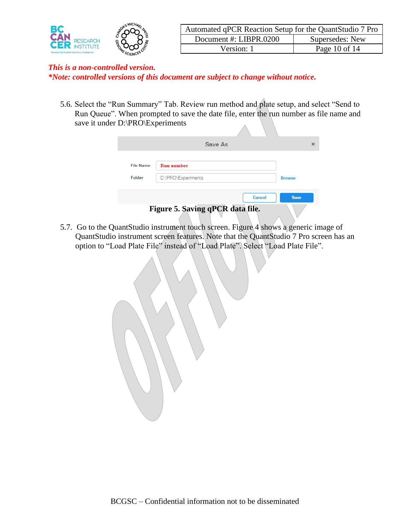

5.6. Select the "Run Summary" Tab. Review run method and plate setup, and select "Send to Run Queue". When prompted to save the date file, enter the run number as file name and save it under D:\PRO\Experiments

|           | Save As                          | ×             |
|-----------|----------------------------------|---------------|
| File Name | <b>Run</b> number                |               |
| Folder    | D:\PRO\Experiments               | <b>Browse</b> |
|           | <b>Cancel</b>                    | <b>Save</b>   |
|           | Figure 5. Saving qPCR data file. |               |

5.7. Go to the QuantStudio instrument touch screen. Figure 4 shows a generic image of QuantStudio instrument screen features. Note that the QuantStudio 7 Pro screen has an option to "Load Plate File" instead of "Load Plate". Select "Load Plate File".

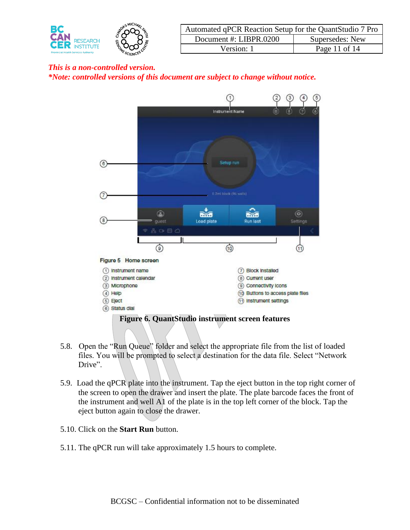

| Automated qPCR Reaction Setup for the QuantStudio 7 Pro |                 |  |
|---------------------------------------------------------|-----------------|--|
| Document #: LIBPR.0200                                  | Supersedes: New |  |
| Version: 1                                              | Page 11 of 14   |  |



- 5.8. Open the "Run Queue" folder and select the appropriate file from the list of loaded files. You will be prompted to select a destination for the data file. Select "Network Drive".
- 5.9. Load the qPCR plate into the instrument. Tap the eject button in the top right corner of the screen to open the drawer and insert the plate. The plate barcode faces the front of the instrument and well A1 of the plate is in the top left corner of the block. Tap the eject button again to close the drawer.
- 5.10. Click on the **Start Run** button.
- 5.11. The qPCR run will take approximately 1.5 hours to complete.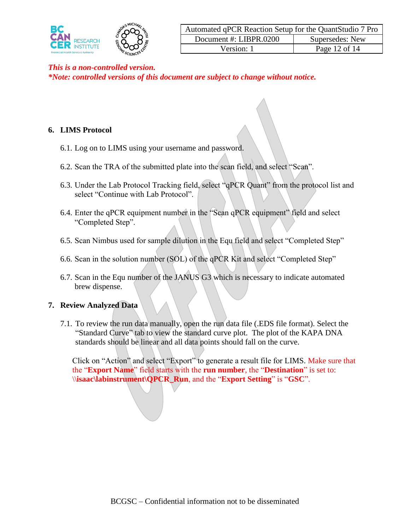

*\*Note: controlled versions of this document are subject to change without notice.*

#### **6. LIMS Protocol**

- 6.1. Log on to LIMS using your username and password.
- 6.2. Scan the TRA of the submitted plate into the scan field, and select "Scan".
- 6.3. Under the Lab Protocol Tracking field, select "qPCR Quant" from the protocol list and select "Continue with Lab Protocol".
- 6.4. Enter the qPCR equipment number in the "Scan qPCR equipment" field and select "Completed Step".
- 6.5. Scan Nimbus used for sample dilution in the Equ field and select "Completed Step"
- 6.6. Scan in the solution number (SOL) of the qPCR Kit and select "Completed Step"
- 6.7. Scan in the Equ number of the JANUS G3 which is necessary to indicate automated brew dispense.

#### **7. Review Analyzed Data**

7.1. To review the run data manually, open the run data file (.EDS file format). Select the "Standard Curve" tab to view the standard curve plot. The plot of the KAPA DNA standards should be linear and all data points should fall on the curve.

Click on "Action" and select "Export" to generate a result file for LIMS. Make sure that the "**Export Name**" field starts with the **run number**, the "**Destination**" is set to: \\**isaac\labinstrument\QPCR\_Run**, and the "**Export Setting**" is "**GSC**".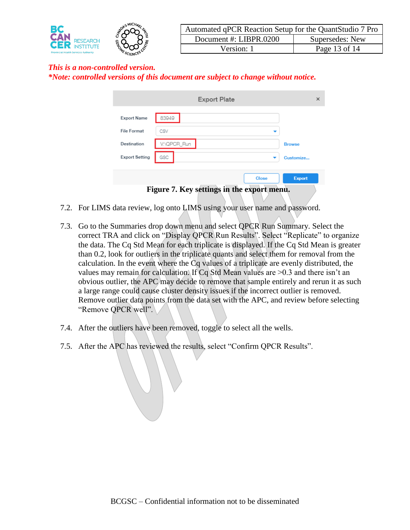

| Automated qPCR Reaction Setup for the QuantStudio 7 Pro |                 |  |
|---------------------------------------------------------|-----------------|--|
| Document #: LIBPR.0200                                  | Supersedes: New |  |
| Version: 1                                              | Page 13 of 14   |  |

*\*Note: controlled versions of this document are subject to change without notice.*

|                                            | <b>Export Plate</b> | ×             |  |
|--------------------------------------------|---------------------|---------------|--|
| <b>Export Name</b>                         | 83949               |               |  |
| <b>File Format</b>                         | CSV                 |               |  |
| Destination                                | V:\QPCR_Run         | <b>Browse</b> |  |
| <b>Export Setting</b>                      | GSC                 | Customize     |  |
|                                            | <b>Close</b>        | <b>Export</b> |  |
| Figure 7. Key settings in the export menu. |                     |               |  |

- 7.2. For LIMS data review, log onto LIMS using your user name and password.
- 7.3. Go to the Summaries drop down menu and select QPCR Run Summary. Select the correct TRA and click on "Display QPCR Run Results". Select "Replicate" to organize the data. The Cq Std Mean for each triplicate is displayed. If the Cq Std Mean is greater than 0.2, look for outliers in the triplicate quants and select them for removal from the calculation. In the event where the Cq values of a triplicate are evenly distributed, the values may remain for calculation. If Cq Std Mean values are  $>0.3$  and there isn't an obvious outlier, the APC may decide to remove that sample entirely and rerun it as such a large range could cause cluster density issues if the incorrect outlier is removed. Remove outlier data points from the data set with the APC, and review before selecting "Remove QPCR well".
- 7.4. After the outliers have been removed, toggle to select all the wells.
- 7.5. After the APC has reviewed the results, select "Confirm QPCR Results".